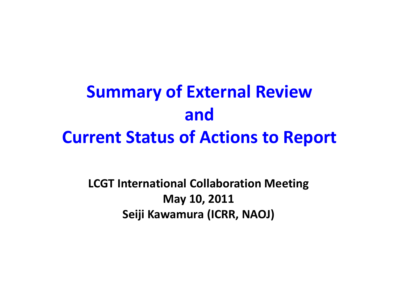# **Summary of External Review andCurrent Status of Actions to Report**

**LCGT International Collaboration Meeting May 10, 2011 Seiji Kawamura (ICRR, NAOJ)**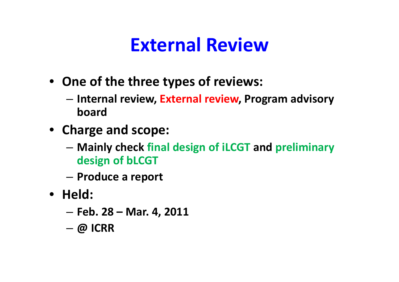#### **External Review**

- **One of the three types of reviews:**
	- **Internal review, External review, Program advisory board**
- **Charge and scope:**
	- **Mainly check final design of iLCGT and preliminary design of bLCGT**
	- –**Produce <sup>a</sup> report**
- **Held:**
	- **Feb. 28 – Mar. 4, 2011**
	- –**@ ICRR**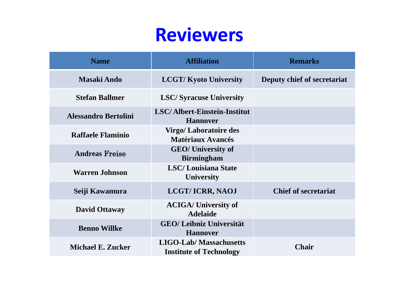#### **Reviewers**

| <b>Name</b>                 | <b>Affiliation</b>                                              | <b>Remarks</b>              |
|-----------------------------|-----------------------------------------------------------------|-----------------------------|
| <b>Masaki Ando</b>          | <b>LCGT/Kyoto University</b>                                    | Deputy chief of secretariat |
| <b>Stefan Ballmer</b>       | <b>LSC/Syracuse University</b>                                  |                             |
| <b>Alessandro Bertolini</b> | <b>LSC/Albert-Einstein-Institut</b><br><b>Hannover</b>          |                             |
| <b>Raffaele Flaminio</b>    | <b>Virgo/Laboratoire des</b><br><b>Matériaux Avancés</b>        |                             |
| <b>Andreas Freise</b>       | <b>GEO/</b> University of<br><b>Birmingham</b>                  |                             |
| <b>Warren Johnson</b>       | <b>LSC/Louisiana State</b><br><b>University</b>                 |                             |
| Seiji Kawamura              | <b>LCGT/ICRR, NAOJ</b>                                          | <b>Chief of secretariat</b> |
| <b>David Ottaway</b>        | <b>ACIGA/University of</b><br><b>Adelaide</b>                   |                             |
| <b>Benno Willke</b>         | <b>GEO/ Leibniz Universität</b><br><b>Hannover</b>              |                             |
| <b>Michael E. Zucker</b>    | <b>LIGO-Lab/Massachusetts</b><br><b>Institute of Technology</b> | <b>Chair</b>                |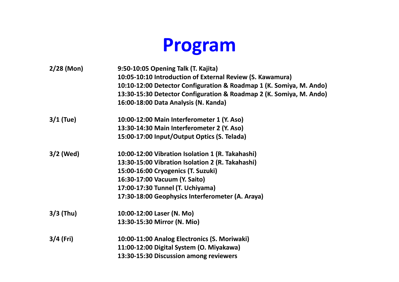## **Program**

| $2/28$ (Mon) | 9:50-10:05 Opening Talk (T. Kajita)                                 |
|--------------|---------------------------------------------------------------------|
|              | 10:05-10:10 Introduction of External Review (S. Kawamura)           |
|              | 10:10-12:00 Detector Configuration & Roadmap 1 (K. Somiya, M. Ando) |
|              | 13:30-15:30 Detector Configuration & Roadmap 2 (K. Somiya, M. Ando) |
|              | 16:00-18:00 Data Analysis (N. Kanda)                                |
| $3/1$ (Tue)  | 10:00-12:00 Main Interferometer 1 (Y. Aso)                          |
|              | 13:30-14:30 Main Interferometer 2 (Y. Aso)                          |
|              | 15:00-17:00 Input/Output Optics (S. Telada)                         |
| $3/2$ (Wed)  | 10:00-12:00 Vibration Isolation 1 (R. Takahashi)                    |
|              | 13:30-15:00 Vibration Isolation 2 (R. Takahashi)                    |
|              | 15:00-16:00 Cryogenics (T. Suzuki)                                  |
|              | 16:30-17:00 Vacuum (Y. Saito)                                       |
|              | 17:00-17:30 Tunnel (T. Uchiyama)                                    |
|              | 17:30-18:00 Geophysics Interferometer (A. Araya)                    |
| $3/3$ (Thu)  | 10:00-12:00 Laser (N. Mo)                                           |
|              | 13:30-15:30 Mirror (N. Mio)                                         |
| $3/4$ (Fri)  | 10:00-11:00 Analog Electronics (S. Moriwaki)                        |
|              | 11:00-12:00 Digital System (O. Miyakawa)                            |
|              | 13:30-15:30 Discussion among reviewers                              |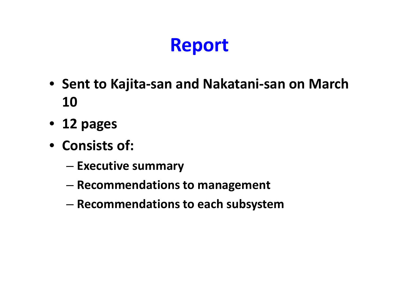# **Report**

- **Sent to Kajita‐san and Nakatani‐san on March 10**
- **12 pages**
- **Consists of:**
	- **Executive summary**
	- –**Recommendations to management**
	- –**Recommendations to each subsystem**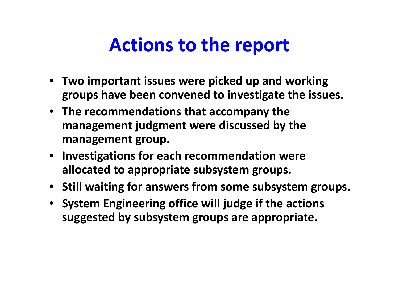### **Actions to the report**

- **Two important issues were picked up and working groups have been convened to investigate the issues.**
- **The recommendations that accompany the management judgment were discussed by the management group.**
- **Investigations for each recommendation were allocated to appropriate subsystem groups.**
- **Still waiting for answers from some subsystem groups.**
- **System Engineering office will judge if the actions suggested by subsystem groups are appropriate.**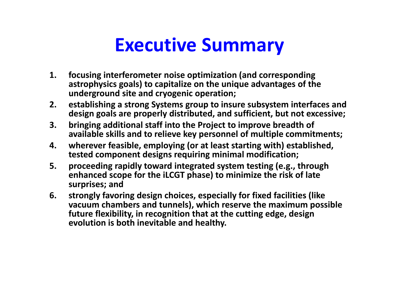### **Executive Summary**

- **1. focusing interferometer noise optimization (and corresponding astrophysics goals) to capitalize on the unique advantages of the underground site and cryogenic operation;**
- **2. establishing <sup>a</sup> strong Systems group to insure subsystem interfaces and design goals are properly distributed, and sufficient, but not excessive;**
- **3. bringing additional staff into the Project to improve breadth of available skills and to relieve key personnel of multiple commitments;**
- **4. wherever feasible, employing (or at least starting with) established, tested component designs requiring minimal modification;**
- **5. proceeding rapidly toward integrated system testing (e.g., through enhanced scope for the iLCGT phase) to minimize the risk of late surprises; and**
- **6. strongly favoring design choices, especially for fixed facilities (like vacuum chambers and tunnels), which reserve the maximum possible future flexibility, in recognition that at the cutting edge, design evolution is both inevitable and healthy.**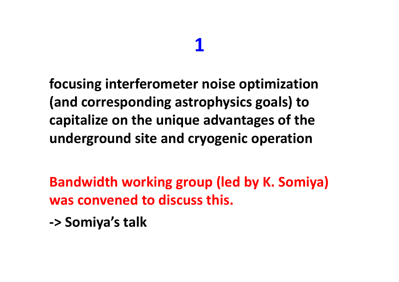## **1**

**focusing interferometer noise optimization (and corresponding astrophysics goals) to capitalize on the unique advantages of the underground site and cryogenic operation**

**Bandwidth working group (led by K. Somiya) was convened to discuss this.**

**‐> Somiya's talk**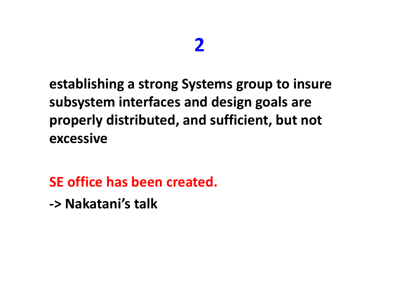#### **2**

**establishing <sup>a</sup> strong Systems group to insure subsystem interfaces and design goals are properly distributed, and sufficient, but not excessive**

**SE office has been created. ‐> Nakatani's talk**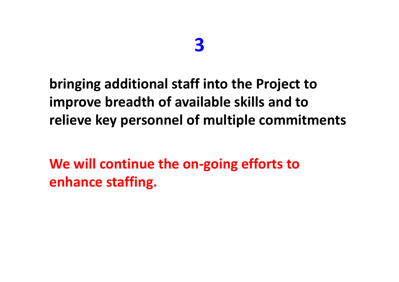#### **bringing additional staff into the Project to improve breadth of available skills and to relieve key personnel of multiple commitments**

**We will continue the on‐going efforts to enhance staffing.**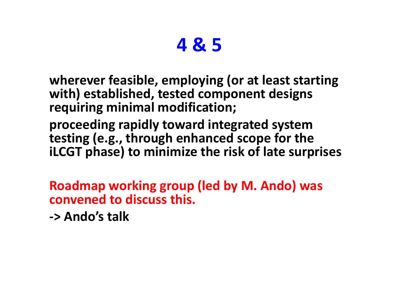## **4 & 5**

**wherever feasible, employing (or at least starting with) established, tested component designs requiring minimal modification;**

**proceeding rapidly toward integrated system testing (e.g., through enhanced scope for the iLCGT phase) to minimize the risk of late surprises**

**Roadmap working group (led by M. Ando) was convened to discuss this.**

**‐> Ando's talk**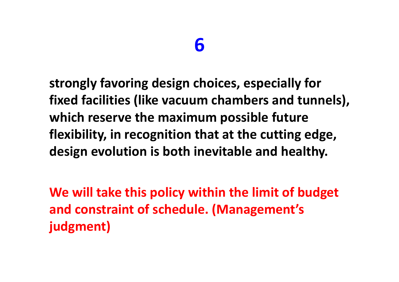**strongly favoring design choices, especially for fixed facilities (like vacuum chambers and tunnels), which reserve the maximum possible future flexibility, in recognition that at the cutting edge, design evolution is both inevitable and healthy.**

**We will take this policy within the limit of budget and constraint of schedule. (Management's judgment)**